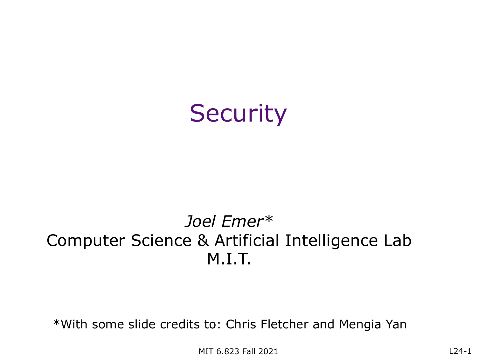#### **Security**

#### *Joel Emer\** Computer Science & Artificial Intelligence Lab M.I.T.

\*With some slide credits to: Chris Fletcher and Mengia Yan

MIT 6.823 Fall 2021 L24-1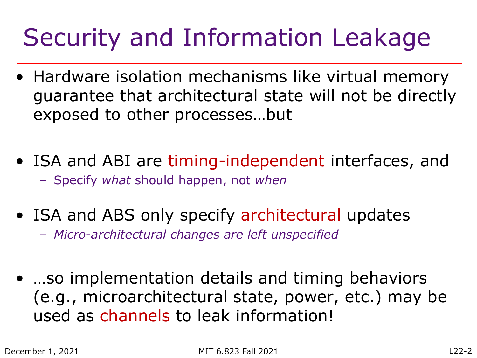## Security and Information Leakage

- Hardware isolation mechanisms like virtual memory guarantee that architectural state will not be directly exposed to other processes…but
- ISA and ABI are timing-independent interfaces, and – Specify *what* should happen, not *when*
- ISA and ABS only specify architectural updates
	- *Micro-architectural changes are left unspecified*
- …so implementation details and timing behaviors (e.g., microarchitectural state, power, etc.) may be used as channels to leak information!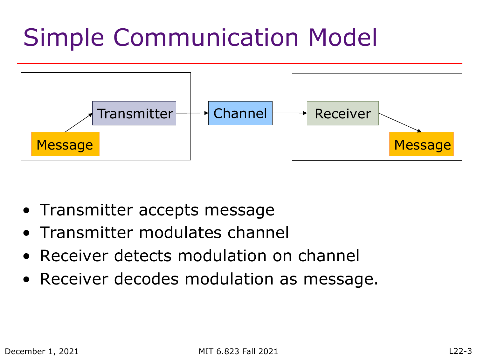## Simple Communication Model



- Transmitter accepts message
- Transmitter modulates channel
- Receiver detects modulation on channel
- Receiver decodes modulation as message.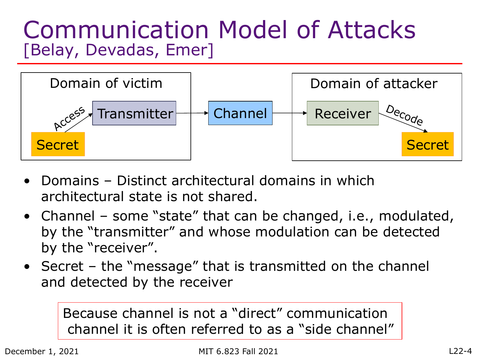#### Communication Model of Attacks [Belay, Devadas, Emer]



- Domains Distinct architectural domains in which architectural state is not shared.
- Channel some "state" that can be changed, i.e., modulated, by the "transmitter" and whose modulation can be detected by the "receiver".
- Secret the "message" that is transmitted on the channel and detected by the receiver

Because channel is not a "direct" communication channel it is often referred to as a "side channel"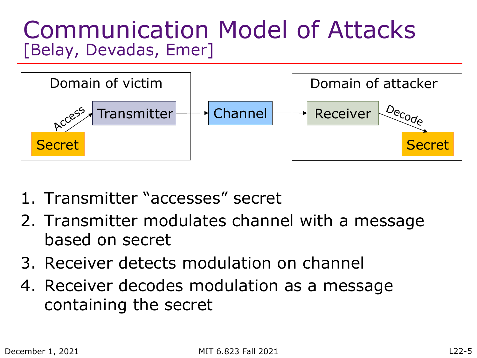#### Communication Model of Attacks [Belay, Devadas, Emer]



- 1. Transmitter "accesses" secret
- 2. Transmitter modulates channel with a message based on secret
- 3. Receiver detects modulation on channel
- 4. Receiver decodes modulation as a message containing the secret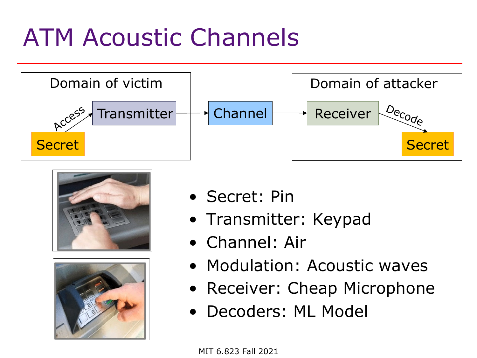### ATM Acoustic Channels







- Secret: Pin
- Transmitter: Keypad
- Channel: Air
- Modulation: Acoustic waves
- Receiver: Cheap Microphone
- Decoders: ML Model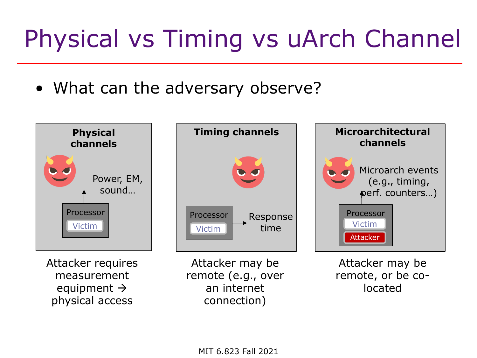# Physical vs Timing vs uArch Channel

• What can the adversary observe?



Attacker requires measurement equipment  $\rightarrow$ physical access

Attacker may be remote (e.g., over an internet connection)

Processor | Response

**Timing channels**

time



Attacker may be remote, or be colocated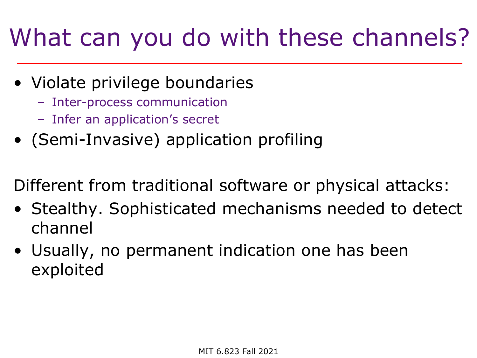## What can you do with these channels?

- Violate privilege boundaries
	- Inter-process communication
	- Infer an application's secret
- (Semi-Invasive) application profiling

Different from traditional software or physical attacks:

- Stealthy. Sophisticated mechanisms needed to detect channel
- Usually, no permanent indication one has been exploited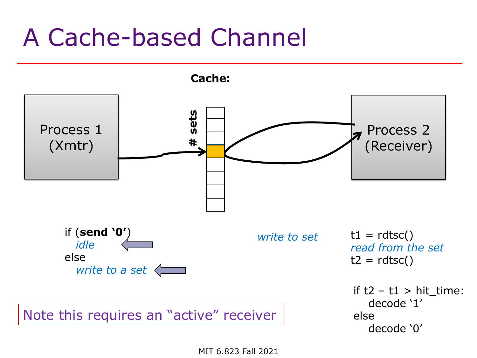#### A Cache-based Channel

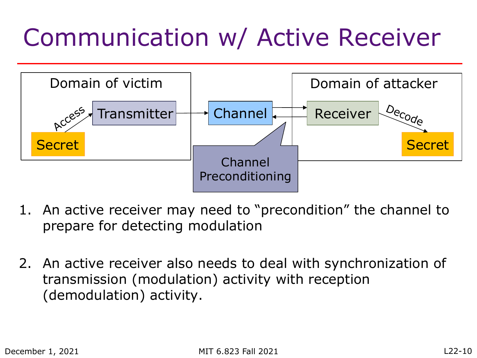### Communication w/ Active Receiver



- 1. An active receiver may need to "precondition" the channel to prepare for detecting modulation
- 2. An active receiver also needs to deal with synchronization of transmission (modulation) activity with reception (demodulation) activity.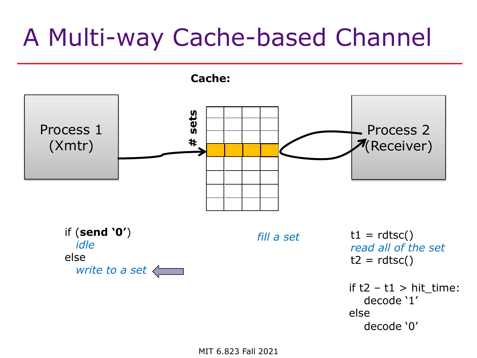#### A Multi-way Cache-based Channel

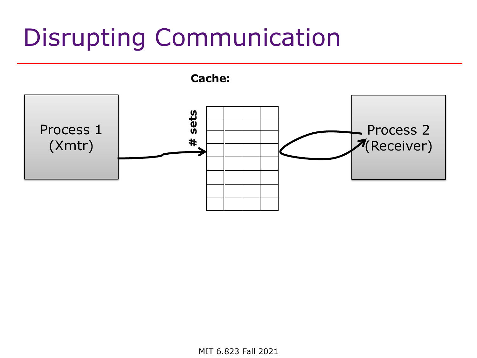### Disrupting Communication

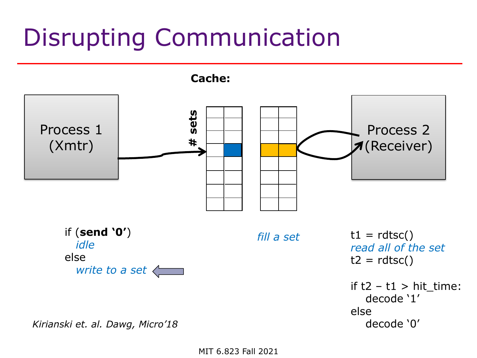## Disrupting Communication

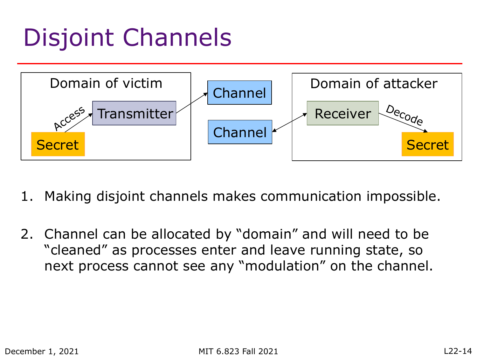## Disjoint Channels



- 1. Making disjoint channels makes communication impossible.
- 2. Channel can be allocated by "domain" and will need to be "cleaned" as processes enter and leave running state, so next process cannot see any "modulation" on the channel.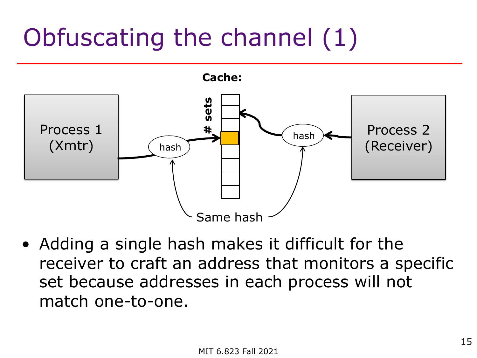# Obfuscating the channel (1)



• Adding a single hash makes it difficult for the receiver to craft an address that monitors a specific set because addresses in each process will not match one-to-one.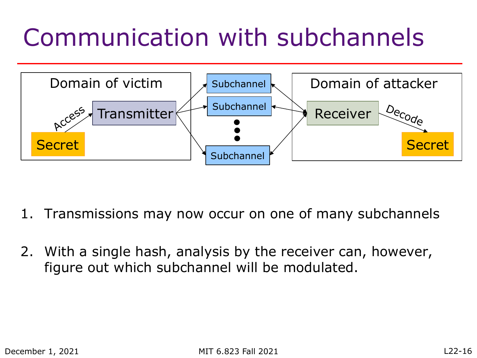### Communication with subchannels



- 1. Transmissions may now occur on one of many subchannels
- 2. With a single hash, analysis by the receiver can, however, figure out which subchannel will be modulated.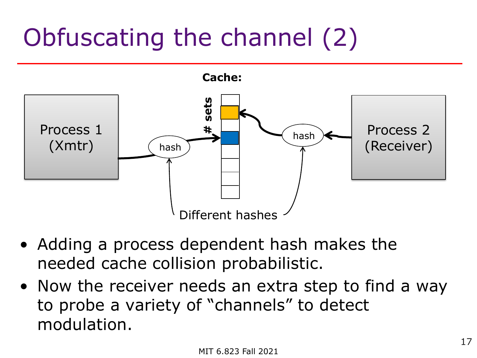# Obfuscating the channel (2)



- Adding a process dependent hash makes the needed cache collision probabilistic.
- Now the receiver needs an extra step to find a way to probe a variety of "channels" to detect modulation.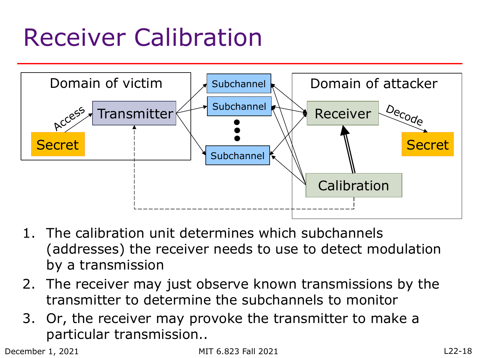## Receiver Calibration



- 1. The calibration unit determines which subchannels (addresses) the receiver needs to use to detect modulation by a transmission
- 2. The receiver may just observe known transmissions by the transmitter to determine the subchannels to monitor
- 3. Or, the receiver may provoke the transmitter to make a particular transmission..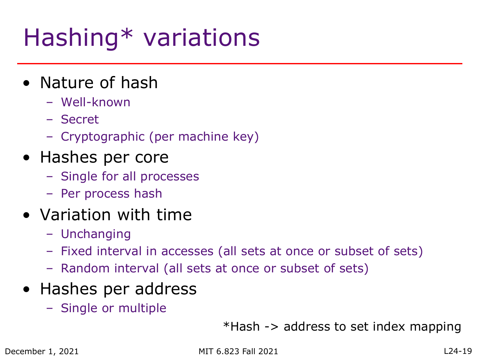## Hashing\* variations

#### • Nature of hash

- Well-known
- Secret
- Cryptographic (per machine key)
- Hashes per core
	- Single for all processes
	- Per process hash

#### • Variation with time

- Unchanging
- Fixed interval in accesses (all sets at once or subset of sets)
- Random interval (all sets at once or subset of sets)

#### • Hashes per address

– Single or multiple

\*Hash -> address to set index mapping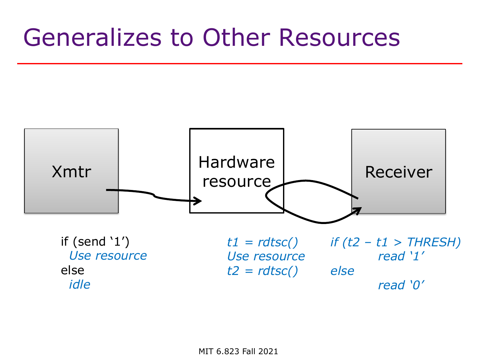#### Generalizes to Other Resources

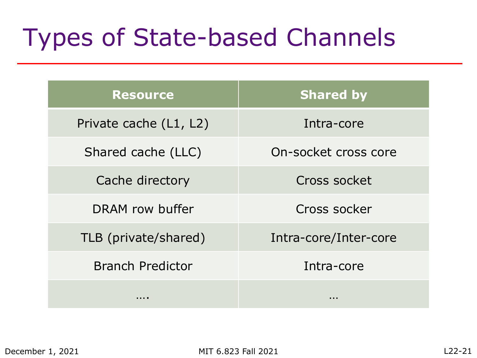### Types of State-based Channels

| <b>Resource</b>         | <b>Shared by</b>      |
|-------------------------|-----------------------|
| Private cache (L1, L2)  | Intra-core            |
| Shared cache (LLC)      | On-socket cross core  |
| Cache directory         | Cross socket          |
| DRAM row buffer         | Cross socker          |
| TLB (private/shared)    | Intra-core/Inter-core |
| <b>Branch Predictor</b> | Intra-core            |
|                         | .                     |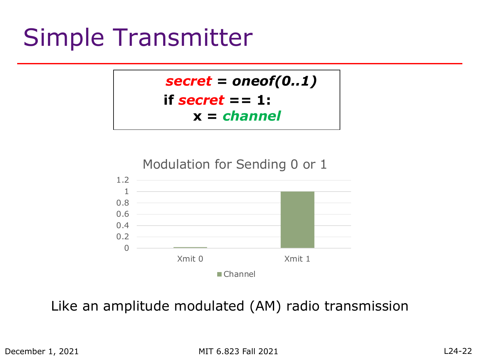#### Simple Transmitter

#### *secret = oneof(0..1)* **if** *secret* **== 1: x =** *channel*



#### Like an amplitude modulated (AM) radio transmission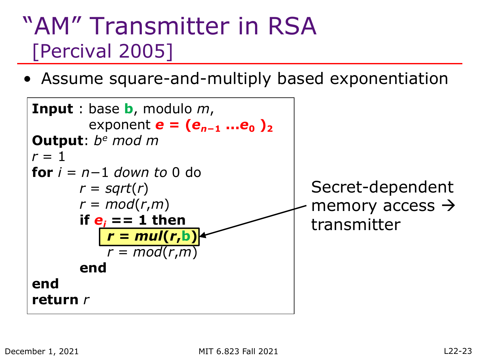#### "AM" Transmitter in RSA [Percival 2005]

• Assume square-and-multiply based exponentiation

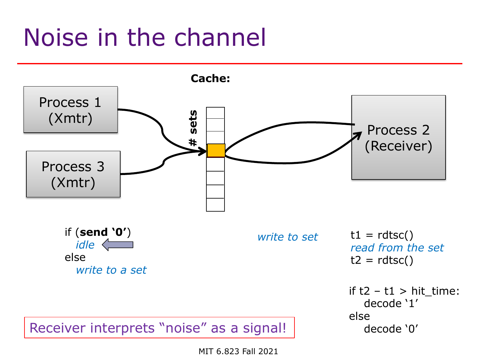#### Noise in the channel



MIT 6.823 Fall 2021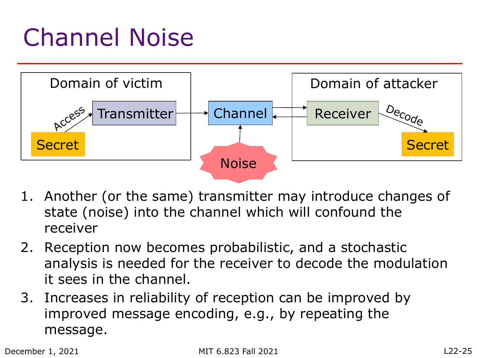## Channel Noise



- 1. Another (or the same) transmitter may introduce changes of state (noise) into the channel which will confound the receiver
- 2. Reception now becomes probabilistic, and a stochastic analysis is needed for the receiver to decode the modulation it sees in the channel.
- 3. Increases in reliability of reception can be improved by improved message encoding, e.g., by repeating the message.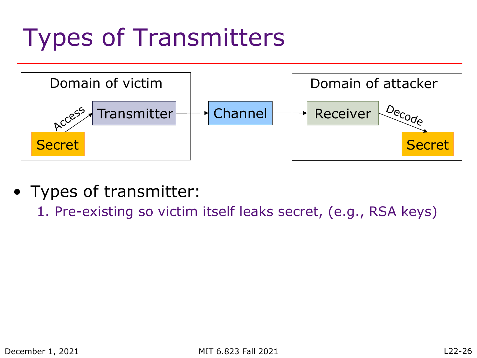### Types of Transmitters



- Types of transmitter:
	- 1. Pre-existing so victim itself leaks secret, (e.g., RSA keys)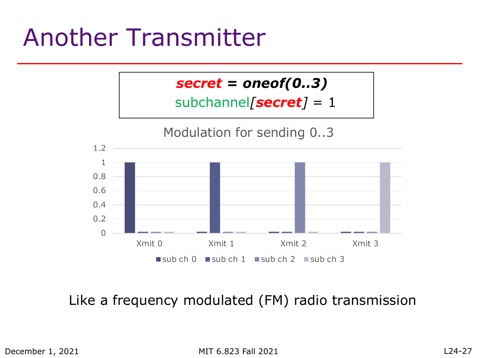#### Another Transmitter



Like a frequency modulated (FM) radio transmission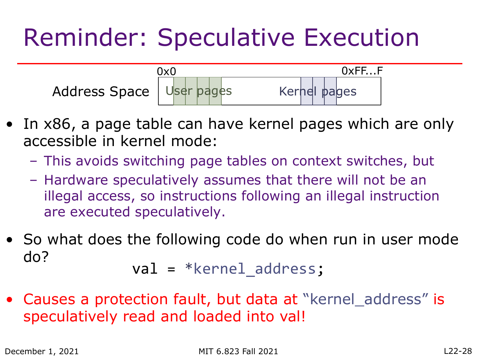#### Reminder: Speculative Execution



- In x86, a page table can have kernel pages which are only accessible in kernel mode:
	- This avoids switching page tables on context switches, but
	- Hardware speculatively assumes that there will not be an illegal access, so instructions following an illegal instruction are executed speculatively.
- So what does the following code do when run in user mode do?

val = \*kernel address;

• Causes a protection fault, but data at "kernel\_address" is speculatively read and loaded into val!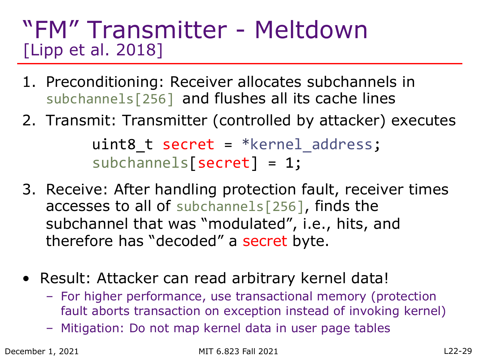#### "FM" Transmitter - Meltdown [Lipp et al. 2018]

- 1. Preconditioning: Receiver allocates subchannels in subchannels[256] and flushes all its cache lines
- 2. Transmit: Transmitter (controlled by attacker) executes uint8 t secret =  $*$ kernel address;

subchannels[secret] = 1;

- 3. Receive: After handling protection fault, receiver times accesses to all of subchannels[256], finds the subchannel that was "modulated", i.e., hits, and therefore has "decoded" a secret byte.
- Result: Attacker can read arbitrary kernel data!
	- For higher performance, use transactional memory (protection fault aborts transaction on exception instead of invoking kernel)
	- Mitigation: Do not map kernel data in user page tables

December 1, 2021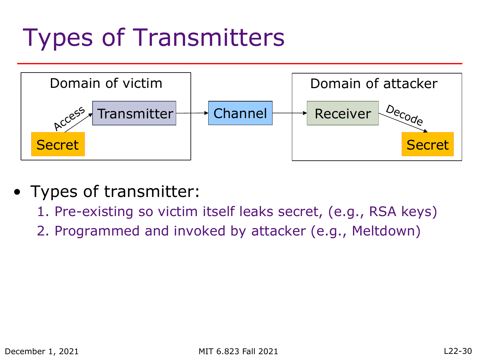### Types of Transmitters



- Types of transmitter:
	- 1. Pre-existing so victim itself leaks secret, (e.g., RSA keys)
	- 2. Programmed and invoked by attacker (e.g., Meltdown)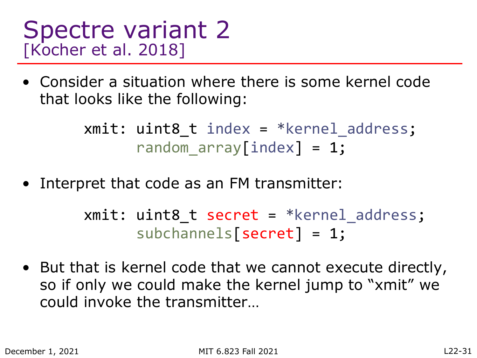#### Spectre variant 2 [Kocher et al. 2018]

• Consider a situation where there is some kernel code that looks like the following:

> xmit: uint8 t index = \*kernel\_address; random  $array[index] = 1;$

• Interpret that code as an FM transmitter:

 $xmit:$  uint8 t secret = \*kernel address; subchannels[secret] = 1;

• But that is kernel code that we cannot execute directly, so if only we could make the kernel jump to "xmit" we could invoke the transmitter…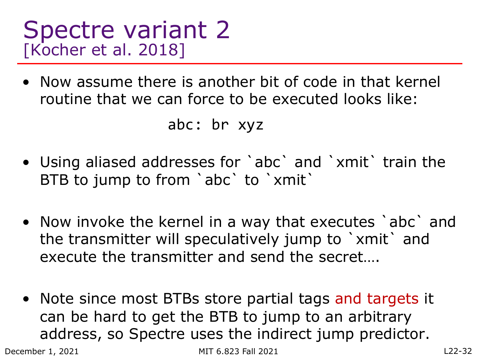#### Spectre variant 2 [Kocher et al. 2018]

• Now assume there is another bit of code in that kernel routine that we can force to be executed looks like:

```
abc: br xyz
```
- Using aliased addresses for `abc` and `xmit` train the BTB to jump to from `abc` to `xmit`
- Now invoke the kernel in a way that executes `abc` and the transmitter will speculatively jump to `xmit` and execute the transmitter and send the secret….
- Note since most BTBs store partial tags and targets it can be hard to get the BTB to jump to an arbitrary address, so Spectre uses the indirect jump predictor.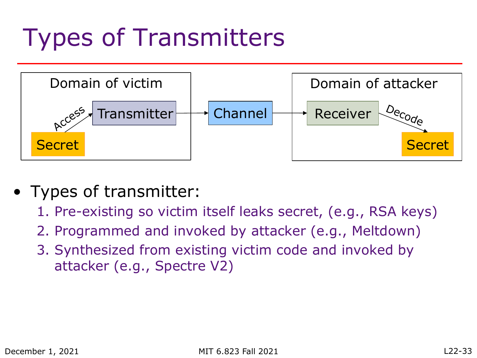### Types of Transmitters



- Types of transmitter:
	- 1. Pre-existing so victim itself leaks secret, (e.g., RSA keys)
	- 2. Programmed and invoked by attacker (e.g., Meltdown)
	- 3. Synthesized from existing victim code and invoked by attacker (e.g., Spectre V2)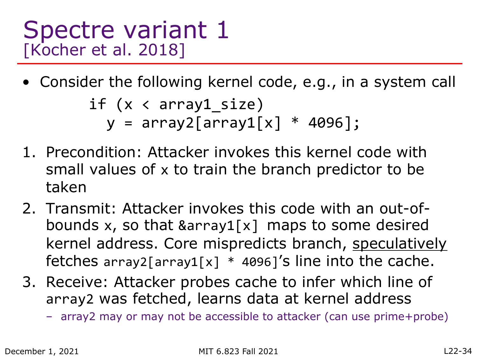#### Spectre variant 1 [Kocher et al. 2018]

• Consider the following kernel code, e.g., in a system call

if (x < array1\_size)  $y = array2[array1[x] * 4096];$ 

- 1. Precondition: Attacker invokes this kernel code with small values of x to train the branch predictor to be taken
- 2. Transmit: Attacker invokes this code with an out-ofbounds x, so that  $&array[ \mid x \rceil$  maps to some desired kernel address. Core mispredicts branch, speculatively fetches array2[array1[x]  $*$  4096]'s line into the cache.
- 3. Receive: Attacker probes cache to infer which line of array2 was fetched, learns data at kernel address
	- array2 may or may not be accessible to attacker (can use prime+probe)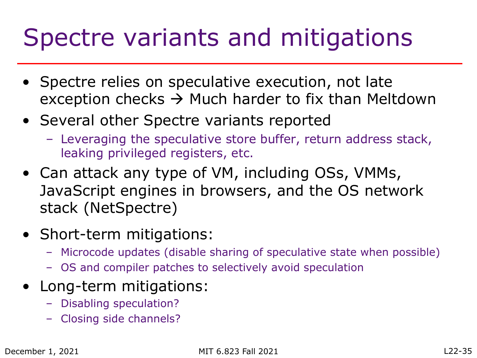#### Spectre variants and mitigations

- Spectre relies on speculative execution, not late exception checks  $\rightarrow$  Much harder to fix than Meltdown
- Several other Spectre variants reported
	- Leveraging the speculative store buffer, return address stack, leaking privileged registers, etc.
- Can attack any type of VM, including OSs, VMMs, JavaScript engines in browsers, and the OS network stack (NetSpectre)
- Short-term mitigations:
	- Microcode updates (disable sharing of speculative state when possible)
	- OS and compiler patches to selectively avoid speculation
- Long-term mitigations:
	- Disabling speculation?
	- Closing side channels?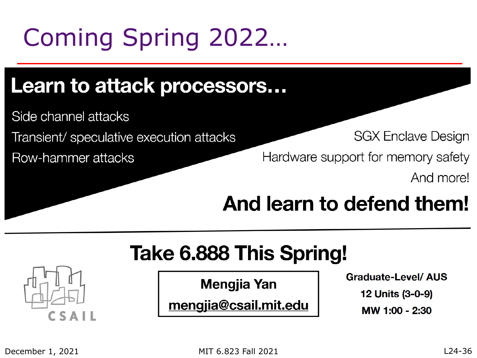# Coming Spring 2022…

#### Learn to attack processors...

Side channel attacks

Transient/ speculative execution attacks

Row-hammer attacks

**SGX Enclave Design** 

Hardware support for memory safety

And more!

#### And learn to defend them!

#### Take 6.888 This Spring!

**Mengjia Yan** 

mengjia@csail.mit.edu

Graduate-Level/AUS

**12 Units (3-0-9)** 

MW 1:00 - 2:30